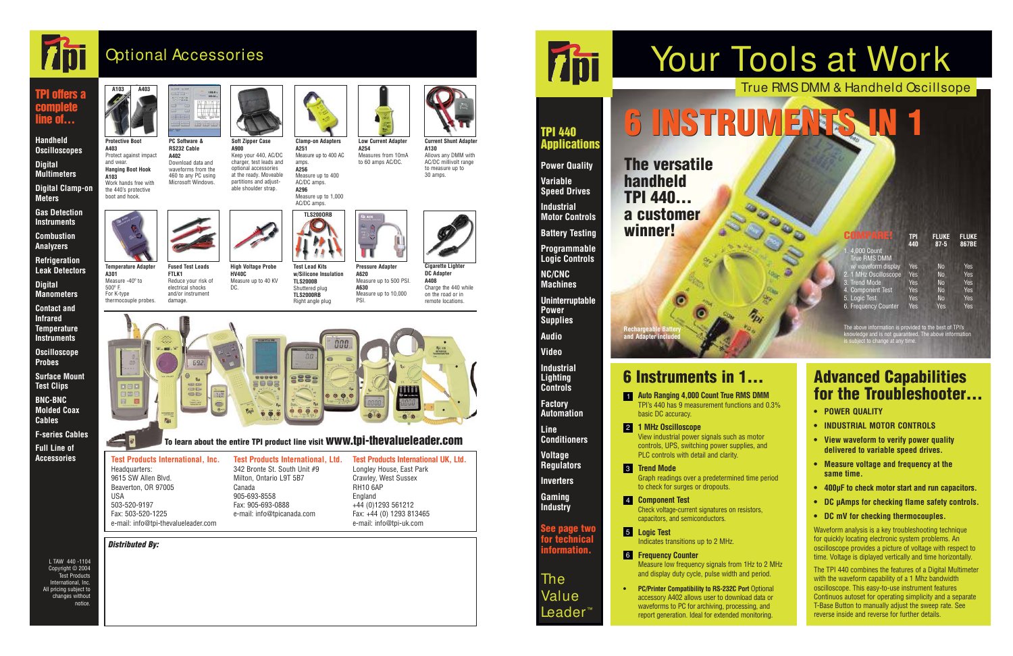| HOMPARE<br>1.4,000 Count<br><b>True RMS DMM</b> | <b>TPI</b><br>440 | <b>FLUKE</b><br>$87 - 5$ | <b>FLUKE</b><br>867BE |
|-------------------------------------------------|-------------------|--------------------------|-----------------------|
| w/ waveform display                             | Yes               | <b>No</b>                | Yes                   |
| 2. 1 MHz Oscilloscope                           | Yes               | <b>No</b>                | Yes                   |
| 3. Trend Mode                                   | Yes               | <b>No</b>                | Yes                   |
| 4. Component Test                               | Yes               | <b>No</b>                | Yes                   |
| 5. Logic Test                                   | Yes               | <b>No</b>                | Yes                   |
| 6. Frequency Counter                            | Yes               | Yes                      | Yes                   |

# True RMS DMM & Handheld Oscillsope Your Tools at Work

The Value Leader

# 6 INSTRUMENT

The above information is provided to the best of TPI's knowledge and is not guaranteed. The above information is subject to change at any time.

**Auto Ranging 4,000 Count True RMS DMM** TPI's 440 has 9 measurement functions and 0.3% basic DC accuracy.

**Rechargeable Battery and Adapter included**

The versatile handheld TPI 440... a customer winner!

# Optional Accessories

# 6 Instruments in 1…

waveforms to PC for archiving, processing, and<br>report generation. Ideal for extended monitoring report generation. Ideal for extended monitoring. **• PC/Printer Compatibility to RS-232C Port** Optional accessory A402 allows user to download data or

# Advanced Capabilities for the Troubleshooter...

View industrial power signals such as motor controls, UPS, switching power supplies, and PLC controls with detail and clarity.

**Trend Mode** 3 Graph readings over a predetermined time period to check for surges or dropouts.

**Component Test**  4 Check voltage-current signatures on resistors, capacitors, and semiconductors.

**Logic Test** 5 Indicates transitions up to 2 MHz.

**Frequency Counter** 6 Measure low frequency signals from 1Hz to 2 MHz and display duty cycle, pulse width and period.

**1 MHz Oscilloscope** 2

- **POWER QUALITY**
- **INDUSTRIAL MOTOR CONTROLS**
- **View waveform to verify power quality delivered to variable speed drives.**
- **Measure voltage and frequency at the same time.**
- **400µF to check motor start and run capacitors.**
- **DC µAmps for checking flame safety controls.**
- **DC mV for checking thermocouples.**

Waveform analysis is a key troubleshooting technique for quickly locating electronic system problems. An oscilloscope provides a picture of voltage with respect to time. Voltage is diplayed vertically and time horizontally.

## TPI 440 **Applications**

The TPI 440 combines the features of a Digital Multimeter with the waveform capability of a 1 Mhz bandwidth oscilloscope. This easy-to-use instrument features Continuos autoset for operating simplicity and a separate T-Base Button to manually adjust the sweep rate. See reverse inside and reverse for further details.

**Accessories Test Products International, Inc.** Headquarters: 9615 SW Allen Blvd. Beaverton, OR 97005 USA 503-520-9197 Fax: 503-520-1225 e-mail: info@tpi-thevalueleader.com

**Protective Boot A403** 

Protect against impact and wear. **Hanging Boot Hook**

**A103** 

Work hands free with the 440's protective boot and hook.

**PC Software & RS232 Cable A402**  Download data and waveforms from the 460 to any PC using Microsoft Windows.



**A900**  Keep your 440, AC/DC charger, test leads and optional accessories at the ready. Moveable partitions and adjustable shoulder strap.



**Clamp-on Adapters A251**  Measure up to 400 AC amps. **A256**  Measure up to 400 AC/DC amps.



**Low Current Adapter A254**  Measures from 10mA to 60 amps AC/DC.

**Current Shunt Adapter A130** 

Allows any DMM with AC/DC millivolt range to measure up to 30 amps.



**Temperature Adapter**

**A301**  Measure -40º to 500º F. For K-type thermocouple probes. **Fused Test Leads FTLK1** 

Reduce your risk of electrical shocks and/or instrument damage.

**HV40C** 

DC.

**Test Lead Kits w/Silicone Insulation TLS2000B**  Shuttered plug **TLS2000RB** 

**High Voltage Probe** Measure up to 40 KV Right angle plug PSI.



**A620** 

**Pressure Adapter** Measure up to 500 PSI. Measure up to 10,000



**A630** 



**Cigarette Lighter DC Adapter A408**  Charge the 440 while on the road or in remote locations.



#### To learn about the entire TPI product line visit  ${\bf www.tbi-thevalueleader.com}$

**Power Quality Variable Speed Drives**

**Industrial Motor Controls**

**Battery Testing Programmable**

**Logic Controls NC/CNC Machines**

**Uninterruptable Power Supplies**

**Audio Video**

**Industrial Lighting Controls**

**Factory Automation**

**Line Conditioners**

**Voltage Regulators Inverters**

**Gaming Industry**

See page two for technical information.

# **A296**  Measure up to 1,000 AC/DC amps. **TLS200ORB**



**Handheld Oscilloscopes Digital Multimeters Digital Clamp-on**

**Meters Gas Detection**

**Instruments Combustion**

**Analyzers Refrigeration**

**Leak Detectors**

**Digital Manometers**

**Contact and Infrared Temperature Instruments**

**Oscilloscope Probes**

**Surface Mount Test Clips BNC-BNC Molded Coax**

**Cables F-series Cables**

**Full Line of**

**Test Products International, Ltd.** 342 Bronte St. South Unit #9 Milton, Ontario L9T 5B7 Canada 905-693-8558 Fax: 905-693-0888 e-mail: info@tpicanada.com

**Test Products International UK, Ltd.** Longley House, East Park Crawley, West Sussex RH10 6AP England +44 (0)1293 561212 Fax: +44 (0) 1293 813465 e-mail: info@tpi-uk.com

# **Thi**

L TAW 440 -1104 Copyright © 2004 Test Products International, Inc. All pricing subject to changes without notice.

Distributed By: